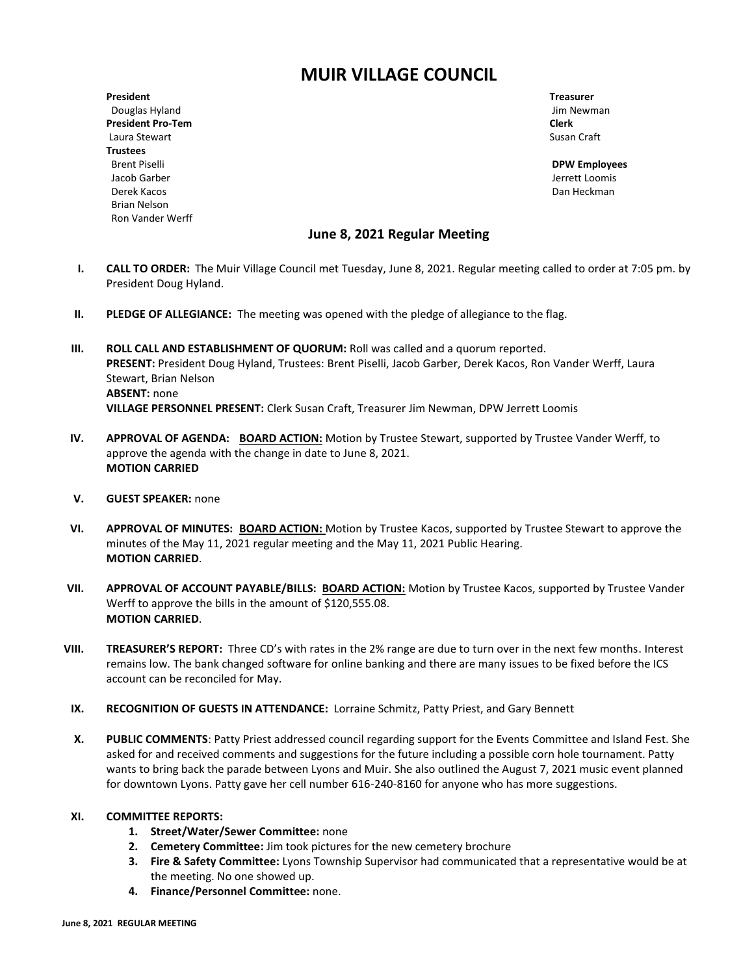# **MUIR VILLAGE COUNCIL**

**President Treasurer** Douglas Hyland Jim Newman Jim Newman Jim Newman Jim Newman Jim Newman Jim Newman **President Pro-Tem Clerk** Laura Stewart **Susan Craft** Susan Craft Susan Craft Susan Craft Susan Craft Susan Craft Susan Craft Susan Craft Susan Craft Susan Craft Susan Craft Susan Craft Susan Craft Susan Craft Susan Craft Susan Craft Susan Craft Su **Trustees** Brent Piselli **DPW Employees** Jacob Garber Jerrett Loomis Derek Kacos Dan Heckman Brian Nelson Ron Vander Werff

# **June 8, 2021 Regular Meeting**

- **I. CALL TO ORDER:** The Muir Village Council met Tuesday, June 8, 2021. Regular meeting called to order at 7:05 pm. by President Doug Hyland.
- **II.** PLEDGE OF ALLEGIANCE: The meeting was opened with the pledge of allegiance to the flag.
- **III. ROLL CALL AND ESTABLISHMENT OF QUORUM:** Roll was called and a quorum reported. **PRESENT:** President Doug Hyland, Trustees: Brent Piselli, Jacob Garber, Derek Kacos, Ron Vander Werff, Laura Stewart, Brian Nelson **ABSENT:** none **VILLAGE PERSONNEL PRESENT:** Clerk Susan Craft, Treasurer Jim Newman, DPW Jerrett Loomis
- **IV. APPROVAL OF AGENDA: BOARD ACTION:** Motion by Trustee Stewart, supported by Trustee Vander Werff, to approve the agenda with the change in date to June 8, 2021. **MOTION CARRIED**
- **V. GUEST SPEAKER:** none
- **VI. APPROVAL OF MINUTES: BOARD ACTION:** Motion by Trustee Kacos, supported by Trustee Stewart to approve the minutes of the May 11, 2021 regular meeting and the May 11, 2021 Public Hearing. **MOTION CARRIED**.
- **VII. APPROVAL OF ACCOUNT PAYABLE/BILLS: BOARD ACTION:** Motion by Trustee Kacos, supported by Trustee Vander Werff to approve the bills in the amount of \$120,555.08. **MOTION CARRIED**.
- **VIII. TREASURER'S REPORT:** Three CD's with rates in the 2% range are due to turn over in the next few months. Interest remains low. The bank changed software for online banking and there are many issues to be fixed before the ICS account can be reconciled for May.
- **IX. RECOGNITION OF GUESTS IN ATTENDANCE:** Lorraine Schmitz, Patty Priest, and Gary Bennett
- **X. PUBLIC COMMENTS**: Patty Priest addressed council regarding support for the Events Committee and Island Fest. She asked for and received comments and suggestions for the future including a possible corn hole tournament. Patty wants to bring back the parade between Lyons and Muir. She also outlined the August 7, 2021 music event planned for downtown Lyons. Patty gave her cell number 616-240-8160 for anyone who has more suggestions.

#### **XI. COMMITTEE REPORTS:**

- **1. Street/Water/Sewer Committee:** none
- **2. Cemetery Committee:** Jim took pictures for the new cemetery brochure
- **3. Fire & Safety Committee:** Lyons Township Supervisor had communicated that a representative would be at the meeting. No one showed up.
- **4. Finance/Personnel Committee:** none.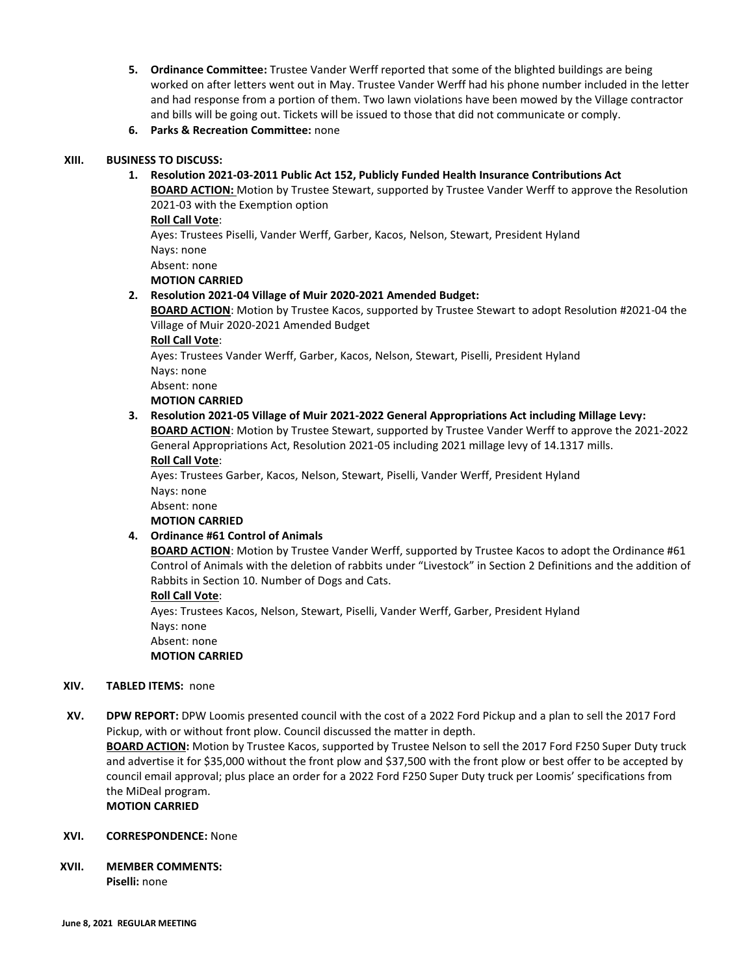- **5. Ordinance Committee:** Trustee Vander Werff reported that some of the blighted buildings are being worked on after letters went out in May. Trustee Vander Werff had his phone number included in the letter and had response from a portion of them. Two lawn violations have been mowed by the Village contractor and bills will be going out. Tickets will be issued to those that did not communicate or comply.
- **6. Parks & Recreation Committee:** none

#### **XIII. BUSINESS TO DISCUSS:**

**1. Resolution 2021-03-2011 Public Act 152, Publicly Funded Health Insurance Contributions Act**

**BOARD ACTION:** Motion by Trustee Stewart, supported by Trustee Vander Werff to approve the Resolution 2021-03 with the Exemption option

## **Roll Call Vote**:

Ayes: Trustees Piselli, Vander Werff, Garber, Kacos, Nelson, Stewart, President Hyland Nays: none

Absent: none **MOTION CARRIED**

## **2. Resolution 2021-04 Village of Muir 2020-2021 Amended Budget:**

**BOARD ACTION**: Motion by Trustee Kacos, supported by Trustee Stewart to adopt Resolution #2021-04 the Village of Muir 2020-2021 Amended Budget

**Roll Call Vote**:

Ayes: Trustees Vander Werff, Garber, Kacos, Nelson, Stewart, Piselli, President Hyland Nays: none

Absent: none

**MOTION CARRIED**

# **3. Resolution 2021-05 Village of Muir 2021-2022 General Appropriations Act including Millage Levy:**

**BOARD ACTION**: Motion by Trustee Stewart, supported by Trustee Vander Werff to approve the 2021-2022 General Appropriations Act, Resolution 2021-05 including 2021 millage levy of 14.1317 mills. **Roll Call Vote**:

Ayes: Trustees Garber, Kacos, Nelson, Stewart, Piselli, Vander Werff, President Hyland Nays: none

Absent: none

**MOTION CARRIED**

# **4. Ordinance #61 Control of Animals**

**BOARD ACTION**: Motion by Trustee Vander Werff, supported by Trustee Kacos to adopt the Ordinance #61 Control of Animals with the deletion of rabbits under "Livestock" in Section 2 Definitions and the addition of Rabbits in Section 10. Number of Dogs and Cats.

#### **Roll Call Vote**:

Ayes: Trustees Kacos, Nelson, Stewart, Piselli, Vander Werff, Garber, President Hyland Nays: none Absent: none

# **MOTION CARRIED**

# **XIV. TABLED ITEMS:** none

**XV. DPW REPORT:** DPW Loomis presented council with the cost of a 2022 Ford Pickup and a plan to sell the 2017 Ford Pickup, with or without front plow. Council discussed the matter in depth.

**BOARD ACTION:** Motion by Trustee Kacos, supported by Trustee Nelson to sell the 2017 Ford F250 Super Duty truck and advertise it for \$35,000 without the front plow and \$37,500 with the front plow or best offer to be accepted by council email approval; plus place an order for a 2022 Ford F250 Super Duty truck per Loomis' specifications from the MiDeal program.

**MOTION CARRIED**

# **XVI. CORRESPONDENCE:** None

**XVII. MEMBER COMMENTS: Piselli:** none